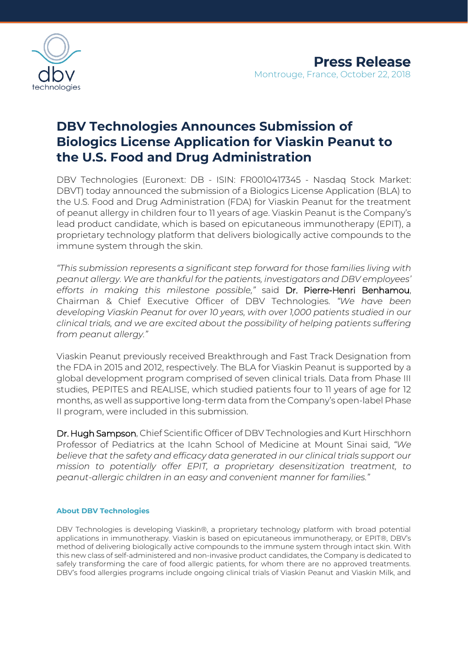

# **DBV Technologies Announces Submission of Biologics License Application for Viaskin Peanut to the U.S. Food and Drug Administration**

DBV Technologies (Euronext: DB - ISIN: FR0010417345 - Nasdaq Stock Market: DBVT) today announced the submission of a Biologics License Application (BLA) to the U.S. Food and Drug Administration (FDA) for Viaskin Peanut for the treatment of peanut allergy in children four to 11 years of age. Viaskin Peanut is the Company's lead product candidate, which is based on epicutaneous immunotherapy (EPIT), a proprietary technology platform that delivers biologically active compounds to the immune system through the skin.

*"This submission represents a significant step forward for those families living with peanut allergy. We are thankful for the patients, investigators and DBV employees' efforts in making this milestone possible,"* said Dr. Pierre-Henri Benhamou, Chairman & Chief Executive Officer of DBV Technologies. *"We have been developing Viaskin Peanut for over 10 years, with over 1,000 patients studied in our clinical trials, and we are excited about the possibility of helping patients suffering from peanut allergy."*

Viaskin Peanut previously received Breakthrough and Fast Track Designation from the FDA in 2015 and 2012, respectively. The BLA for Viaskin Peanut is supported by a global development program comprised of seven clinical trials. Data from Phase III studies, PEPITES and REALISE, which studied patients four to 11 years of age for 12 months, as well as supportive long-term data from the Company's open-label Phase II program, were included in this submission.

Dr. Hugh Sampson, Chief Scientific Officer of DBV Technologies and Kurt Hirschhorn Professor of Pediatrics at the Icahn School of Medicine at Mount Sinai said, *"We believe that the safety and efficacy data generated in our clinical trials support our mission to potentially offer EPIT, a proprietary desensitization treatment, to peanut-allergic children in an easy and convenient manner for families."*

### **About DBV Technologies**

DBV Technologies is developing Viaskin®, a proprietary technology platform with broad potential applications in immunotherapy. Viaskin is based on epicutaneous immunotherapy, or EPIT®, DBV's method of delivering biologically active compounds to the immune system through intact skin. With this new class of self-administered and non-invasive product candidates, the Company is dedicated to safely transforming the care of food allergic patients, for whom there are no approved treatments. DBV's food allergies programs include ongoing clinical trials of Viaskin Peanut and Viaskin Milk, and